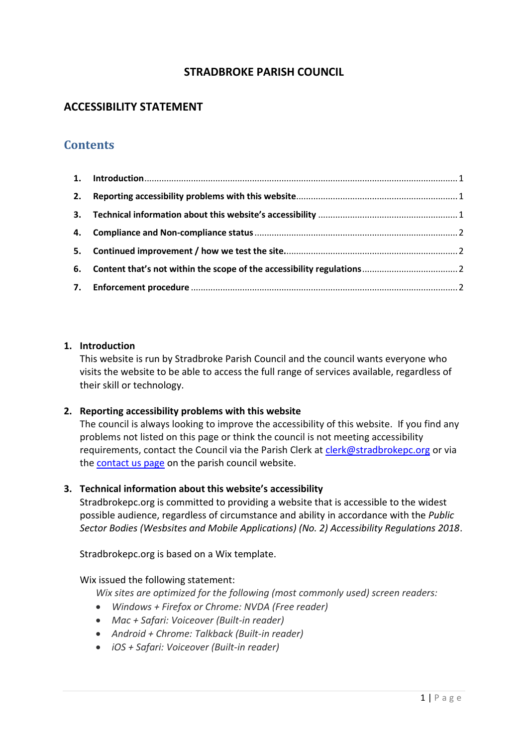## **STRADBROKE PARISH COUNCIL**

# **ACCESSIBILITY STATEMENT**

# **Contents**

#### <span id="page-0-0"></span>**1. Introduction**

This website is run by Stradbroke Parish Council and the council wants everyone who visits the website to be able to access the full range of services available, regardless of their skill or technology.

## <span id="page-0-1"></span>**2. Reporting accessibility problems with this website**

The council is always looking to improve the accessibility of this website. If you find any problems not listed on this page or think the council is not meeting accessibility requirements, contact the Council via the Parish Clerk at [clerk@stradbrokepc.org](mailto:clerk@stradbrokepc.org) or via the [contact us page](https://www.stradbrokepc.org/contact) on the parish council website.

#### <span id="page-0-2"></span>**3. Technical information about this website's accessibility**

Stradbrokepc.org is committed to providing a website that is accessible to the widest possible audience, regardless of circumstance and ability in accordance with the *Public Sector Bodies (Wesbsites and Mobile Applications) (No. 2) Accessibility Regulations 2018*.

Stradbrokepc.org is based on a Wix template.

#### Wix issued the following statement:

*Wix sites are optimized for the following (most commonly used) screen readers:*

- *Windows + Firefox or Chrome: NVDA (Free reader)*
- *Mac + Safari: Voiceover (Built-in reader)*
- *Android + Chrome: Talkback (Built-in reader)*
- *iOS + Safari: Voiceover (Built-in reader)*